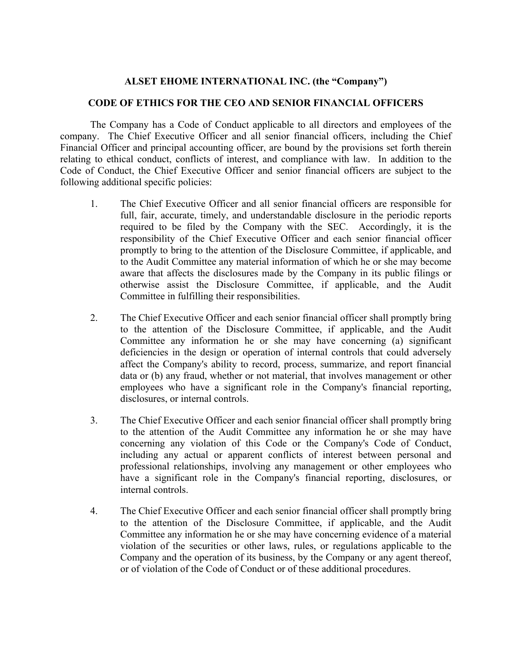## **ALSET EHOME INTERNATIONAL INC. (the "Company")**

## **CODE OF ETHICS FOR THE CEO AND SENIOR FINANCIAL OFFICERS**

The Company has a Code of Conduct applicable to all directors and employees of the company. The Chief Executive Officer and all senior financial officers, including the Chief Financial Officer and principal accounting officer, are bound by the provisions set forth therein relating to ethical conduct, conflicts of interest, and compliance with law. In addition to the Code of Conduct, the Chief Executive Officer and senior financial officers are subject to the following additional specific policies:

- 1. The Chief Executive Officer and all senior financial officers are responsible for full, fair, accurate, timely, and understandable disclosure in the periodic reports required to be filed by the Company with the SEC. Accordingly, it is the responsibility of the Chief Executive Officer and each senior financial officer promptly to bring to the attention of the Disclosure Committee, if applicable, and to the Audit Committee any material information of which he or she may become aware that affects the disclosures made by the Company in its public filings or otherwise assist the Disclosure Committee, if applicable, and the Audit Committee in fulfilling their responsibilities.
- 2. The Chief Executive Officer and each senior financial officer shall promptly bring to the attention of the Disclosure Committee, if applicable, and the Audit Committee any information he or she may have concerning (a) significant deficiencies in the design or operation of internal controls that could adversely affect the Company's ability to record, process, summarize, and report financial data or (b) any fraud, whether or not material, that involves management or other employees who have a significant role in the Company's financial reporting, disclosures, or internal controls.
- 3. The Chief Executive Officer and each senior financial officer shall promptly bring to the attention of the Audit Committee any information he or she may have concerning any violation of this Code or the Company's Code of Conduct, including any actual or apparent conflicts of interest between personal and professional relationships, involving any management or other employees who have a significant role in the Company's financial reporting, disclosures, or internal controls.
- 4. The Chief Executive Officer and each senior financial officer shall promptly bring to the attention of the Disclosure Committee, if applicable, and the Audit Committee any information he or she may have concerning evidence of a material violation of the securities or other laws, rules, or regulations applicable to the Company and the operation of its business, by the Company or any agent thereof, or of violation of the Code of Conduct or of these additional procedures.